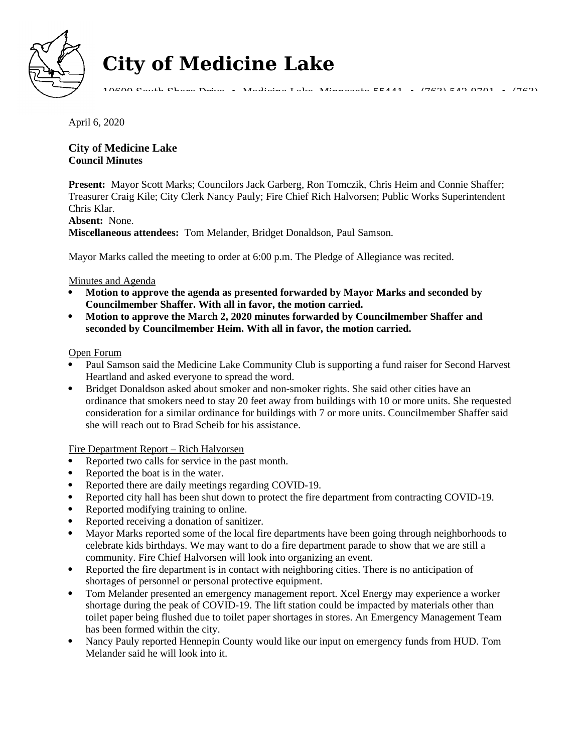

# **City of Medicine Lake**

10609 South Shore Drive • Medicine Lake, Minnesota 55441 • (763) 542-9701 • (763)

April 6, 2020

## **City of Medicine Lake Council Minutes**

**Present:** Mayor Scott Marks; Councilors Jack Garberg, Ron Tomczik, Chris Heim and Connie Shaffer; Treasurer Craig Kile; City Clerk Nancy Pauly; Fire Chief Rich Halvorsen; Public Works Superintendent Chris Klar.

## **Absent:** None.

**Miscellaneous attendees:** Tom Melander, Bridget Donaldson, Paul Samson.

Mayor Marks called the meeting to order at 6:00 p.m. The Pledge of Allegiance was recited.

## Minutes and Agenda

- **Motion to approve the agenda as presented forwarded by Mayor Marks and seconded by Councilmember Shaffer. With all in favor, the motion carried.**
- **Motion to approve the March 2, 2020 minutes forwarded by Councilmember Shaffer and seconded by Councilmember Heim. With all in favor, the motion carried.**

## Open Forum

- Paul Samson said the Medicine Lake Community Club is supporting a fund raiser for Second Harvest Heartland and asked everyone to spread the word.
- Bridget Donaldson asked about smoker and non-smoker rights. She said other cities have an ordinance that smokers need to stay 20 feet away from buildings with 10 or more units. She requested consideration for a similar ordinance for buildings with 7 or more units. Councilmember Shaffer said she will reach out to Brad Scheib for his assistance.

Fire Department Report – Rich Halvorsen

- Reported two calls for service in the past month.
- Reported the boat is in the water.
- Reported there are daily meetings regarding COVID-19.
- Reported city hall has been shut down to protect the fire department from contracting COVID-19.
- Reported modifying training to online.
- Reported receiving a donation of sanitizer.
- Mayor Marks reported some of the local fire departments have been going through neighborhoods to celebrate kids birthdays. We may want to do a fire department parade to show that we are still a community. Fire Chief Halvorsen will look into organizing an event.
- Reported the fire department is in contact with neighboring cities. There is no anticipation of shortages of personnel or personal protective equipment.
- Tom Melander presented an emergency management report. Xcel Energy may experience a worker shortage during the peak of COVID-19. The lift station could be impacted by materials other than toilet paper being flushed due to toilet paper shortages in stores. An Emergency Management Team has been formed within the city.
- Nancy Pauly reported Hennepin County would like our input on emergency funds from HUD. Tom Melander said he will look into it.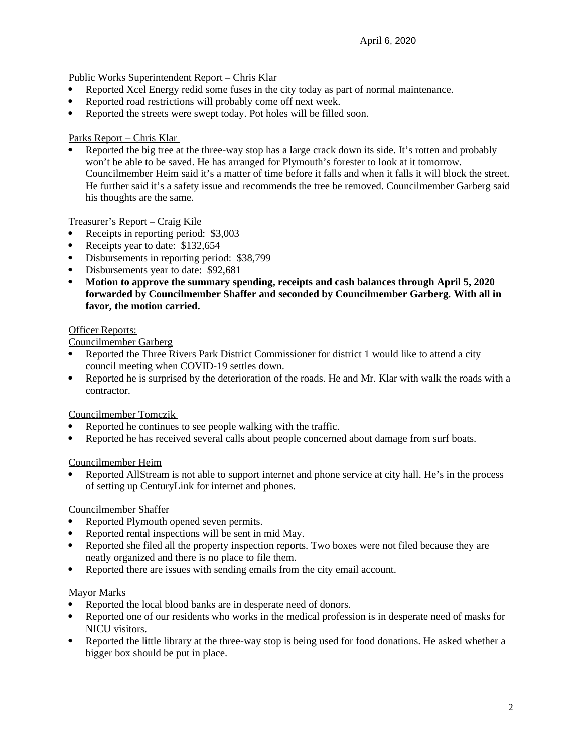Public Works Superintendent Report – Chris Klar

- Reported Xcel Energy redid some fuses in the city today as part of normal maintenance.
- Reported road restrictions will probably come off next week.
- Reported the streets were swept today. Pot holes will be filled soon.

## Parks Report – Chris Klar

 Reported the big tree at the three-way stop has a large crack down its side. It's rotten and probably won't be able to be saved. He has arranged for Plymouth's forester to look at it tomorrow. Councilmember Heim said it's a matter of time before it falls and when it falls it will block the street. He further said it's a safety issue and recommends the tree be removed. Councilmember Garberg said his thoughts are the same.

Treasurer's Report – Craig Kile

- Receipts in reporting period: \$3,003
- Receipts year to date: \$132,654
- Disbursements in reporting period: \$38,799
- Disbursements year to date: \$92,681
- **Motion to approve the summary spending, receipts and cash balances through April 5, 2020 forwarded by Councilmember Shaffer and seconded by Councilmember Garberg. With all in favor, the motion carried.**

## Officer Reports:

Councilmember Garberg

- Reported the Three Rivers Park District Commissioner for district 1 would like to attend a city council meeting when COVID-19 settles down.
- Reported he is surprised by the deterioration of the roads. He and Mr. Klar with walk the roads with a contractor.

Councilmember Tomczik

- Reported he continues to see people walking with the traffic.
- Reported he has received several calls about people concerned about damage from surf boats.

Councilmember Heim

 Reported AllStream is not able to support internet and phone service at city hall. He's in the process of setting up CenturyLink for internet and phones.

## Councilmember Shaffer

- Reported Plymouth opened seven permits.
- Reported rental inspections will be sent in mid May.
- Reported she filed all the property inspection reports. Two boxes were not filed because they are neatly organized and there is no place to file them.
- Reported there are issues with sending emails from the city email account.

## Mayor Marks

- Reported the local blood banks are in desperate need of donors.
- Reported one of our residents who works in the medical profession is in desperate need of masks for NICU visitors.
- Reported the little library at the three-way stop is being used for food donations. He asked whether a bigger box should be put in place.